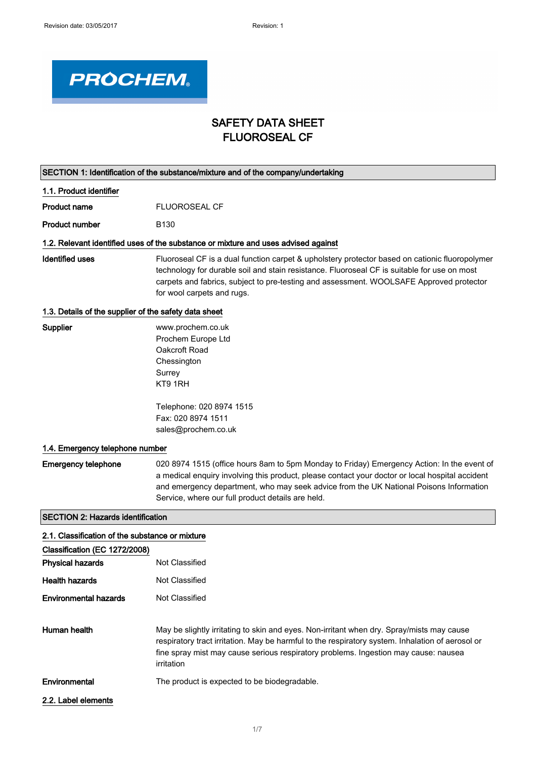

## SAFETY DATA SHEET FLUOROSEAL CF

|                                                       | SECTION 1: Identification of the substance/mixture and of the company/undertaking                                                                                                                                                                                                                                                            |
|-------------------------------------------------------|----------------------------------------------------------------------------------------------------------------------------------------------------------------------------------------------------------------------------------------------------------------------------------------------------------------------------------------------|
| 1.1. Product identifier                               |                                                                                                                                                                                                                                                                                                                                              |
| <b>Product name</b>                                   | <b>FLUOROSEAL CF</b>                                                                                                                                                                                                                                                                                                                         |
| <b>Product number</b>                                 | B <sub>130</sub>                                                                                                                                                                                                                                                                                                                             |
|                                                       | 1.2. Relevant identified uses of the substance or mixture and uses advised against                                                                                                                                                                                                                                                           |
| <b>Identified uses</b>                                | Fluoroseal CF is a dual function carpet & upholstery protector based on cationic fluoropolymer<br>technology for durable soil and stain resistance. Fluoroseal CF is suitable for use on most<br>carpets and fabrics, subject to pre-testing and assessment. WOOLSAFE Approved protector<br>for wool carpets and rugs.                       |
| 1.3. Details of the supplier of the safety data sheet |                                                                                                                                                                                                                                                                                                                                              |
| Supplier                                              | www.prochem.co.uk<br>Prochem Europe Ltd<br>Oakcroft Road<br>Chessington<br>Surrey<br>KT9 1RH                                                                                                                                                                                                                                                 |
|                                                       | Telephone: 020 8974 1515<br>Fax: 020 8974 1511<br>sales@prochem.co.uk                                                                                                                                                                                                                                                                        |
| 1.4. Emergency telephone number                       |                                                                                                                                                                                                                                                                                                                                              |
| <b>Emergency telephone</b>                            | 020 8974 1515 (office hours 8am to 5pm Monday to Friday) Emergency Action: In the event of<br>a medical enquiry involving this product, please contact your doctor or local hospital accident<br>and emergency department, who may seek advice from the UK National Poisons Information<br>Service, where our full product details are held. |
| <b>SECTION 2: Hazards identification</b>              |                                                                                                                                                                                                                                                                                                                                              |
| 2.1. Classification of the substance or mixture       |                                                                                                                                                                                                                                                                                                                                              |
| Classification (EC 1272/2008)                         |                                                                                                                                                                                                                                                                                                                                              |
| <b>Physical hazards</b>                               | Not Classified                                                                                                                                                                                                                                                                                                                               |
| <b>Health hazards</b>                                 | Not Classified                                                                                                                                                                                                                                                                                                                               |
| <b>Environmental hazards</b>                          | Not Classified                                                                                                                                                                                                                                                                                                                               |
| Human health                                          | May be slightly irritating to skin and eyes. Non-irritant when dry. Spray/mists may cause<br>respiratory tract irritation. May be harmful to the respiratory system. Inhalation of aerosol or<br>fine spray mist may cause serious respiratory problems. Ingestion may cause: nausea<br>irritation                                           |
| Environmental                                         | The product is expected to be biodegradable.                                                                                                                                                                                                                                                                                                 |
| 2.2. Label elements                                   |                                                                                                                                                                                                                                                                                                                                              |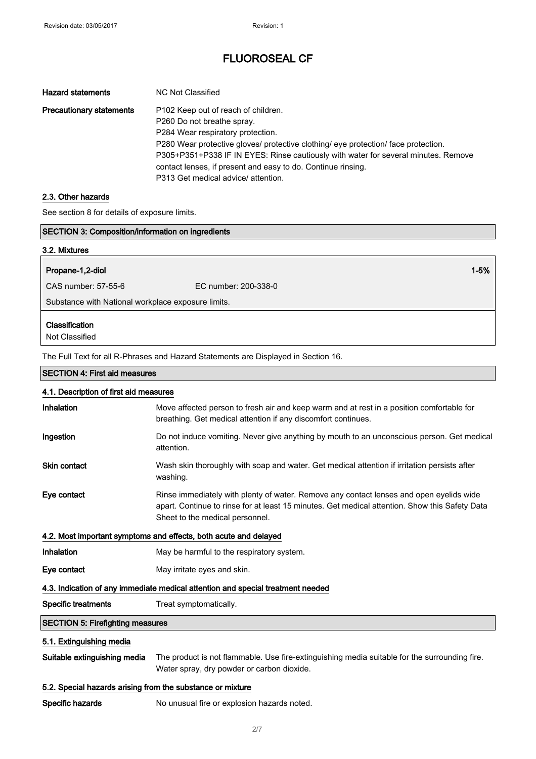| <b>Hazard statements</b>        | NC Not Classified                                                                                                                                                                                                                                                                                                                                  |
|---------------------------------|----------------------------------------------------------------------------------------------------------------------------------------------------------------------------------------------------------------------------------------------------------------------------------------------------------------------------------------------------|
| <b>Precautionary statements</b> | P102 Keep out of reach of children.<br>P260 Do not breathe spray.<br>P284 Wear respiratory protection.<br>P280 Wear protective gloves/ protective clothing/ eye protection/ face protection.<br>P305+P351+P338 IF IN EYES: Rinse cautiously with water for several minutes. Remove<br>contact lenses, if present and easy to do. Continue rinsing. |
|                                 | P313 Get medical advice/ attention.                                                                                                                                                                                                                                                                                                                |

## 2.3. Other hazards

See section 8 for details of exposure limits.

| <b>SECTION 3: Composition/information on ingredients</b> |                                                                                                                                                                                                                              |
|----------------------------------------------------------|------------------------------------------------------------------------------------------------------------------------------------------------------------------------------------------------------------------------------|
| 3.2. Mixtures                                            |                                                                                                                                                                                                                              |
| Propane-1,2-diol                                         | $1 - 5%$                                                                                                                                                                                                                     |
| CAS number: 57-55-6                                      | EC number: 200-338-0                                                                                                                                                                                                         |
| Substance with National workplace exposure limits.       |                                                                                                                                                                                                                              |
| Classification<br>Not Classified                         |                                                                                                                                                                                                                              |
|                                                          | The Full Text for all R-Phrases and Hazard Statements are Displayed in Section 16.                                                                                                                                           |
| <b>SECTION 4: First aid measures</b>                     |                                                                                                                                                                                                                              |
| 4.1. Description of first aid measures                   |                                                                                                                                                                                                                              |
| Inhalation                                               | Move affected person to fresh air and keep warm and at rest in a position comfortable for<br>breathing. Get medical attention if any discomfort continues.                                                                   |
| Ingestion                                                | Do not induce vomiting. Never give anything by mouth to an unconscious person. Get medical<br>attention.                                                                                                                     |
| Skin contact                                             | Wash skin thoroughly with soap and water. Get medical attention if irritation persists after<br>washing.                                                                                                                     |
| Eye contact                                              | Rinse immediately with plenty of water. Remove any contact lenses and open eyelids wide<br>apart. Continue to rinse for at least 15 minutes. Get medical attention. Show this Safety Data<br>Sheet to the medical personnel. |
|                                                          | 4.2. Most important symptoms and effects, both acute and delayed                                                                                                                                                             |
| Inhalation                                               | May be harmful to the respiratory system.                                                                                                                                                                                    |

Eye contact May irritate eyes and skin.

## 4.3. Indication of any immediate medical attention and special treatment needed

Specific treatments Treat symptomatically.

## SECTION 5: Firefighting measures

## 5.1. Extinguishing media

Suitable extinguishing media The product is not flammable. Use fire-extinguishing media suitable for the surrounding fire. Water spray, dry powder or carbon dioxide.

#### 5.2. Special hazards arising from the substance or mixture

Specific hazards No unusual fire or explosion hazards noted.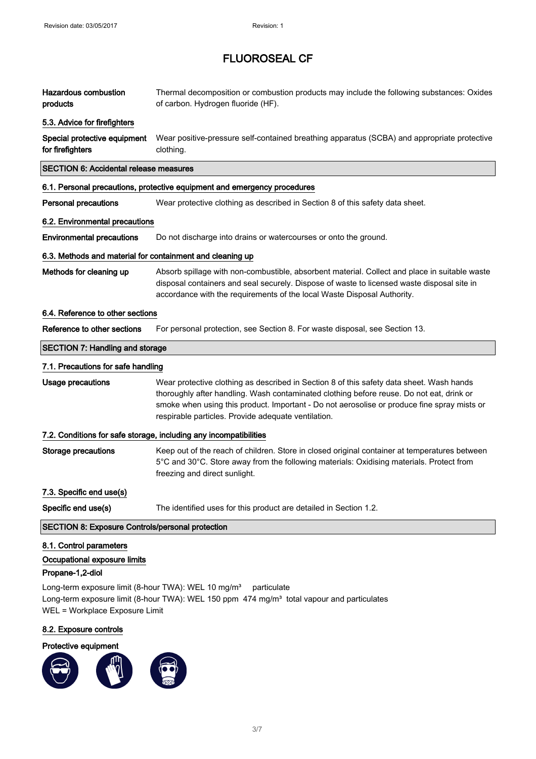| <b>Hazardous combustion</b><br>products                                                                                                                                          | Thermal decomposition or combustion products may include the following substances: Oxides<br>of carbon. Hydrogen fluoride (HF).                                                                                                                                                                                                            |
|----------------------------------------------------------------------------------------------------------------------------------------------------------------------------------|--------------------------------------------------------------------------------------------------------------------------------------------------------------------------------------------------------------------------------------------------------------------------------------------------------------------------------------------|
| 5.3. Advice for firefighters                                                                                                                                                     |                                                                                                                                                                                                                                                                                                                                            |
| Special protective equipment<br>for firefighters                                                                                                                                 | Wear positive-pressure self-contained breathing apparatus (SCBA) and appropriate protective<br>clothing.                                                                                                                                                                                                                                   |
| <b>SECTION 6: Accidental release measures</b>                                                                                                                                    |                                                                                                                                                                                                                                                                                                                                            |
|                                                                                                                                                                                  | 6.1. Personal precautions, protective equipment and emergency procedures                                                                                                                                                                                                                                                                   |
| <b>Personal precautions</b>                                                                                                                                                      | Wear protective clothing as described in Section 8 of this safety data sheet.                                                                                                                                                                                                                                                              |
| 6.2. Environmental precautions                                                                                                                                                   |                                                                                                                                                                                                                                                                                                                                            |
| <b>Environmental precautions</b>                                                                                                                                                 | Do not discharge into drains or watercourses or onto the ground.                                                                                                                                                                                                                                                                           |
| 6.3. Methods and material for containment and cleaning up                                                                                                                        |                                                                                                                                                                                                                                                                                                                                            |
| Methods for cleaning up                                                                                                                                                          | Absorb spillage with non-combustible, absorbent material. Collect and place in suitable waste<br>disposal containers and seal securely. Dispose of waste to licensed waste disposal site in<br>accordance with the requirements of the local Waste Disposal Authority.                                                                     |
| 6.4. Reference to other sections                                                                                                                                                 |                                                                                                                                                                                                                                                                                                                                            |
| Reference to other sections                                                                                                                                                      | For personal protection, see Section 8. For waste disposal, see Section 13.                                                                                                                                                                                                                                                                |
| <b>SECTION 7: Handling and storage</b>                                                                                                                                           |                                                                                                                                                                                                                                                                                                                                            |
| 7.1. Precautions for safe handling                                                                                                                                               |                                                                                                                                                                                                                                                                                                                                            |
| Usage precautions                                                                                                                                                                | Wear protective clothing as described in Section 8 of this safety data sheet. Wash hands<br>thoroughly after handling. Wash contaminated clothing before reuse. Do not eat, drink or<br>smoke when using this product. Important - Do not aerosolise or produce fine spray mists or<br>respirable particles. Provide adequate ventilation. |
|                                                                                                                                                                                  | 7.2. Conditions for safe storage, including any incompatibilities                                                                                                                                                                                                                                                                          |
| <b>Storage precautions</b>                                                                                                                                                       | Keep out of the reach of children. Store in closed original container at temperatures between<br>5°C and 30°C. Store away from the following materials: Oxidising materials. Protect from<br>freezing and direct sunlight.                                                                                                                 |
| 7.3. Specific end use(s)                                                                                                                                                         |                                                                                                                                                                                                                                                                                                                                            |
| Specific end use(s)                                                                                                                                                              | The identified uses for this product are detailed in Section 1.2.                                                                                                                                                                                                                                                                          |
| <b>SECTION 8: Exposure Controls/personal protection</b>                                                                                                                          |                                                                                                                                                                                                                                                                                                                                            |
| 8.1. Control parameters<br>Occupational exposure limits<br>Propane-1,2-diol<br>Long-term exposure limit (8-hour TWA): WEL 10 mg/m <sup>3</sup><br>WEL = Workplace Exposure Limit | particulate<br>Long-term exposure limit (8-hour TWA): WEL 150 ppm 474 mg/m <sup>3</sup> total vapour and particulates                                                                                                                                                                                                                      |

## 8.2. Exposure controls

## Protective equipment

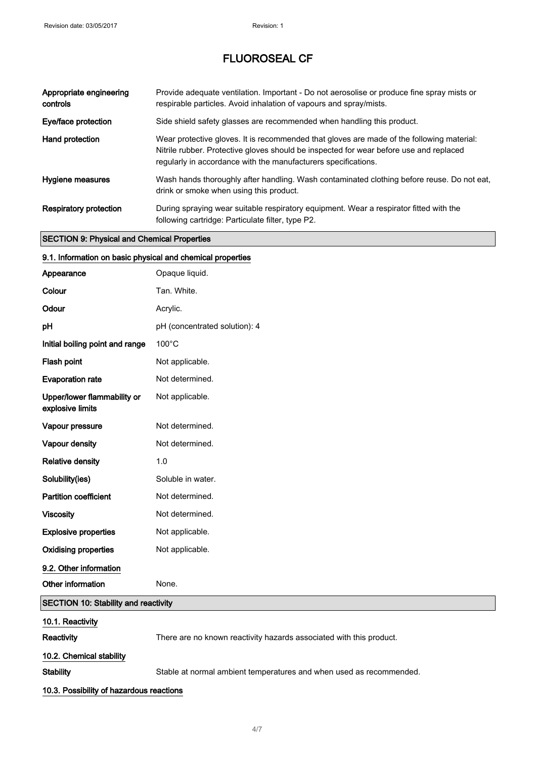| Appropriate engineering<br>controls | Provide adequate ventilation. Important - Do not aerosolise or produce fine spray mists or<br>respirable particles. Avoid inhalation of vapours and spray/mists.                                                                                      |
|-------------------------------------|-------------------------------------------------------------------------------------------------------------------------------------------------------------------------------------------------------------------------------------------------------|
| Eye/face protection                 | Side shield safety glasses are recommended when handling this product.                                                                                                                                                                                |
| Hand protection                     | Wear protective gloves. It is recommended that gloves are made of the following material:<br>Nitrile rubber. Protective gloves should be inspected for wear before use and replaced<br>regularly in accordance with the manufacturers specifications. |
| <b>Hygiene measures</b>             | Wash hands thoroughly after handling. Wash contaminated clothing before reuse. Do not eat,<br>drink or smoke when using this product.                                                                                                                 |
| <b>Respiratory protection</b>       | During spraying wear suitable respiratory equipment. Wear a respirator fitted with the<br>following cartridge: Particulate filter, type P2.                                                                                                           |

## SECTION 9: Physical and Chemical Properties

## 9.1. Information on basic physical and chemical properties

| Appearance                                      | Opaque liquid.                                                      |
|-------------------------------------------------|---------------------------------------------------------------------|
| Colour                                          | Tan. White.                                                         |
| Odour                                           | Acrylic.                                                            |
| рH                                              | pH (concentrated solution): 4                                       |
| Initial boiling point and range                 | 100°C                                                               |
| Flash point                                     | Not applicable.                                                     |
| <b>Evaporation rate</b>                         | Not determined.                                                     |
| Upper/lower flammability or<br>explosive limits | Not applicable.                                                     |
| Vapour pressure                                 | Not determined.                                                     |
| Vapour density                                  | Not determined.                                                     |
| <b>Relative density</b>                         | 1.0                                                                 |
| Solubility(ies)                                 | Soluble in water.                                                   |
| <b>Partition coefficient</b>                    | Not determined.                                                     |
| <b>Viscosity</b>                                | Not determined.                                                     |
| <b>Explosive properties</b>                     | Not applicable.                                                     |
| <b>Oxidising properties</b>                     | Not applicable.                                                     |
| 9.2. Other information                          |                                                                     |
| Other information                               | None.                                                               |
| <b>SECTION 10: Stability and reactivity</b>     |                                                                     |
| 10.1. Reactivity                                |                                                                     |
| Reactivity                                      | There are no known reactivity hazards associated with this product. |
| 10.2. Chemical stability                        |                                                                     |

Stability Stable at normal ambient temperatures and when used as recommended.

## 10.3. Possibility of hazardous reactions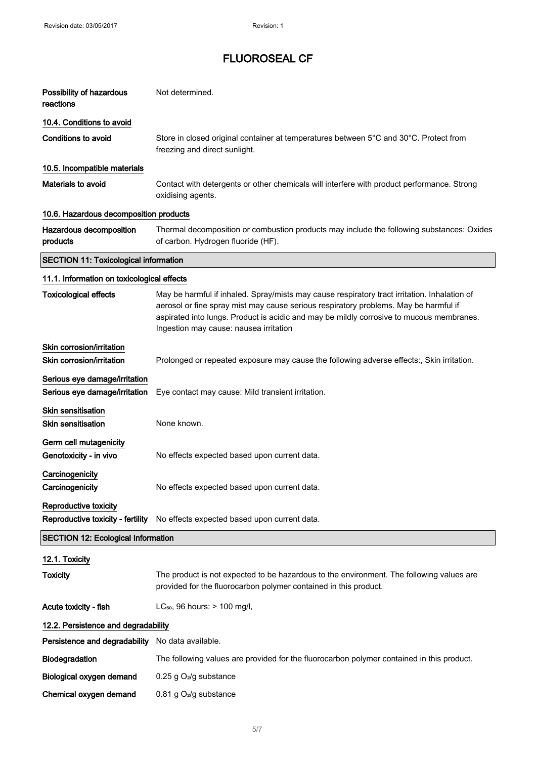| Possibility of hazardous<br>reactions                          | Not determined.                                                                                                                                                                                                                                                                                                            |
|----------------------------------------------------------------|----------------------------------------------------------------------------------------------------------------------------------------------------------------------------------------------------------------------------------------------------------------------------------------------------------------------------|
| 10.4. Conditions to avoid                                      |                                                                                                                                                                                                                                                                                                                            |
| <b>Conditions to avoid</b>                                     | Store in closed original container at temperatures between 5°C and 30°C. Protect from<br>freezing and direct sunlight.                                                                                                                                                                                                     |
| 10.5. Incompatible materials                                   |                                                                                                                                                                                                                                                                                                                            |
| <b>Materials to avoid</b>                                      | Contact with detergents or other chemicals will interfere with product performance. Strong<br>oxidising agents.                                                                                                                                                                                                            |
| 10.6. Hazardous decomposition products                         |                                                                                                                                                                                                                                                                                                                            |
| Hazardous decomposition<br>products                            | Thermal decomposition or combustion products may include the following substances: Oxides<br>of carbon. Hydrogen fluoride (HF).                                                                                                                                                                                            |
| <b>SECTION 11: Toxicological information</b>                   |                                                                                                                                                                                                                                                                                                                            |
| 11.1. Information on toxicological effects                     |                                                                                                                                                                                                                                                                                                                            |
| <b>Toxicological effects</b>                                   | May be harmful if inhaled. Spray/mists may cause respiratory tract irritation. Inhalation of<br>aerosol or fine spray mist may cause serious respiratory problems. May be harmful if<br>aspirated into lungs. Product is acidic and may be mildly corrosive to mucous membranes.<br>Ingestion may cause: nausea irritation |
| Skin corrosion/irritation<br>Skin corrosion/irritation         | Prolonged or repeated exposure may cause the following adverse effects:, Skin irritation.                                                                                                                                                                                                                                  |
| Serious eye damage/irritation<br>Serious eye damage/irritation | Eye contact may cause: Mild transient irritation.                                                                                                                                                                                                                                                                          |
| <b>Skin sensitisation</b><br><b>Skin sensitisation</b>         | None known.                                                                                                                                                                                                                                                                                                                |
| Germ cell mutagenicity<br>Genotoxicity - in vivo               | No effects expected based upon current data.                                                                                                                                                                                                                                                                               |
| Carcinogenicity<br>Carcinogenicity                             | No effects expected based upon current data.                                                                                                                                                                                                                                                                               |
| Reproductive toxicity                                          | Reproductive toxicity - fertility No effects expected based upon current data.                                                                                                                                                                                                                                             |
| <b>SECTION 12: Ecological Information</b>                      |                                                                                                                                                                                                                                                                                                                            |
| 12.1. Toxicity                                                 |                                                                                                                                                                                                                                                                                                                            |
| <b>Toxicity</b>                                                | The product is not expected to be hazardous to the environment. The following values are<br>provided for the fluorocarbon polymer contained in this product.                                                                                                                                                               |
| Acute toxicity - fish                                          | LC <sub>50</sub> , 96 hours: > 100 mg/l,                                                                                                                                                                                                                                                                                   |
| 12.2. Persistence and degradability                            |                                                                                                                                                                                                                                                                                                                            |
| Persistence and degradability                                  | No data available.                                                                                                                                                                                                                                                                                                         |
| Biodegradation                                                 | The following values are provided for the fluorocarbon polymer contained in this product.                                                                                                                                                                                                                                  |
| Biological oxygen demand                                       | 0.25 g O <sub>2</sub> /g substance                                                                                                                                                                                                                                                                                         |
| Chemical oxygen demand                                         | 0.81 g O <sub>2</sub> /g substance                                                                                                                                                                                                                                                                                         |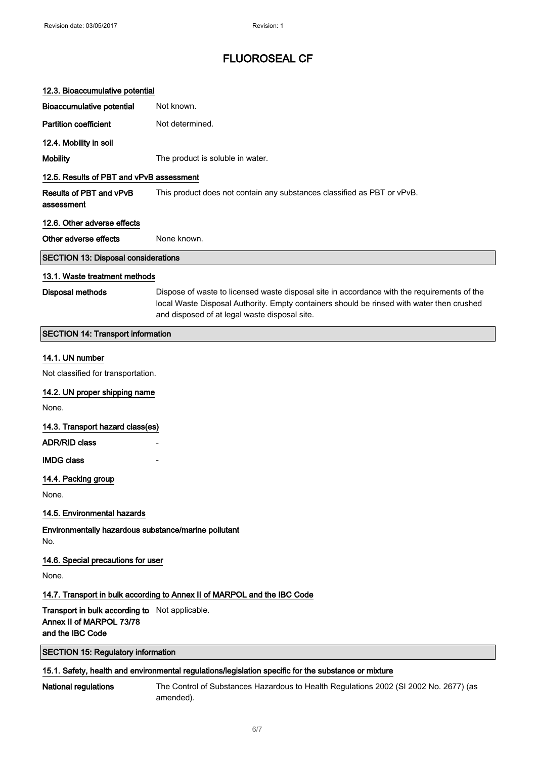## 12.3. Bioaccumulative potential

| <b>Bioaccumulative potential</b>           | Not known.                                                                                                                                                                                                                                |
|--------------------------------------------|-------------------------------------------------------------------------------------------------------------------------------------------------------------------------------------------------------------------------------------------|
| <b>Partition coefficient</b>               | Not determined.                                                                                                                                                                                                                           |
| 12.4. Mobility in soil                     |                                                                                                                                                                                                                                           |
| <b>Mobility</b>                            | The product is soluble in water.                                                                                                                                                                                                          |
| 12.5. Results of PBT and vPvB assessment   |                                                                                                                                                                                                                                           |
| Results of PBT and vPvB<br>assessment      | This product does not contain any substances classified as PBT or vPvB.                                                                                                                                                                   |
| 12.6. Other adverse effects                |                                                                                                                                                                                                                                           |
| Other adverse effects                      | None known.                                                                                                                                                                                                                               |
| <b>SECTION 13: Disposal considerations</b> |                                                                                                                                                                                                                                           |
| 13.1. Waste treatment methods              |                                                                                                                                                                                                                                           |
| <b>Disposal methods</b>                    | Dispose of waste to licensed waste disposal site in accordance with the requirements of the<br>local Waste Disposal Authority. Empty containers should be rinsed with water then crushed<br>and disposed of at legal waste disposal site. |
| <b>SECTION 14: Transport information</b>   |                                                                                                                                                                                                                                           |
| 14.1. UN number                            |                                                                                                                                                                                                                                           |
| Not classified for transportation.         |                                                                                                                                                                                                                                           |

## 14.2. UN proper shipping name

None.

14.3. Transport hazard class(es)

ADR/RID class

#### **IMDG class**

#### 14.4. Packing group

None.

## 14.5. Environmental hazards

Environmentally hazardous substance/marine pollutant No.

## 14.6. Special precautions for user

None.

#### 14.7. Transport in bulk according to Annex II of MARPOL and the IBC Code

Transport in bulk according to Not applicable. Annex II of MARPOL 73/78 and the IBC Code

## SECTION 15: Regulatory information

## 15.1. Safety, health and environmental regulations/legislation specific for the substance or mixture

National regulations The Control of Substances Hazardous to Health Regulations 2002 (SI 2002 No. 2677) (as amended).